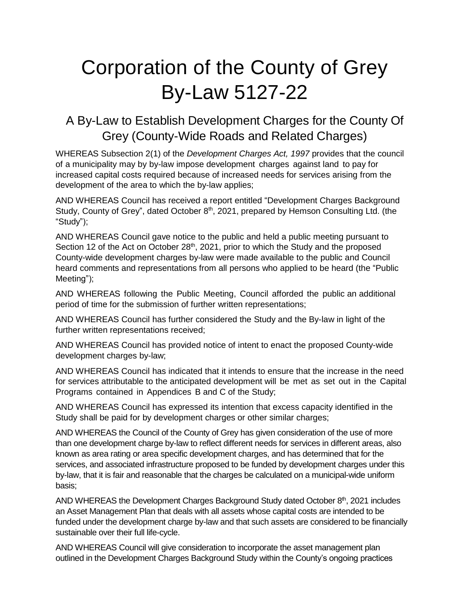# Corporation of the County of Grey By-Law 5127-22

### A By-Law to Establish Development Charges for the County Of Grey (County-Wide Roads and Related Charges)

WHEREAS Subsection 2(1) of the *Development Charges Act, 1997* provides that the council of a municipality may by by-law impose development charges against land to pay for increased capital costs required because of increased needs for services arising from the development of the area to which the by-law applies;

AND WHEREAS Council has received a report entitled "Development Charges Background Study, County of Grey", dated October 8<sup>th</sup>, 2021, prepared by Hemson Consulting Ltd. (the "Study");

AND WHEREAS Council gave notice to the public and held a public meeting pursuant to Section 12 of the Act on October  $28<sup>th</sup>$ , 2021, prior to which the Study and the proposed County-wide development charges by-law were made available to the public and Council heard comments and representations from all persons who applied to be heard (the "Public Meeting");

AND WHEREAS following the Public Meeting, Council afforded the public an additional period of time for the submission of further written representations;

AND WHEREAS Council has further considered the Study and the By-law in light of the further written representations received;

AND WHEREAS Council has provided notice of intent to enact the proposed County-wide development charges by-law;

AND WHEREAS Council has indicated that it intends to ensure that the increase in the need for services attributable to the anticipated development will be met as set out in the Capital Programs contained in Appendices B and C of the Study;

AND WHEREAS Council has expressed its intention that excess capacity identified in the Study shall be paid for by development charges or other similar charges;

AND WHEREAS the Council of the County of Grey has given consideration of the use of more than one development charge by-law to reflect different needs for services in different areas, also known as area rating or area specific development charges, and has determined that for the services, and associated infrastructure proposed to be funded by development charges under this by-law, that it is fair and reasonable that the charges be calculated on a municipal-wide uniform basis;

AND WHEREAS the Development Charges Background Study dated October  $8<sup>th</sup>$ , 2021 includes an Asset Management Plan that deals with all assets whose capital costs are intended to be funded under the development charge by-law and that such assets are considered to be financially sustainable over their full life-cycle.

AND WHEREAS Council will give consideration to incorporate the asset management plan outlined in the Development Charges Background Study within the County's ongoing practices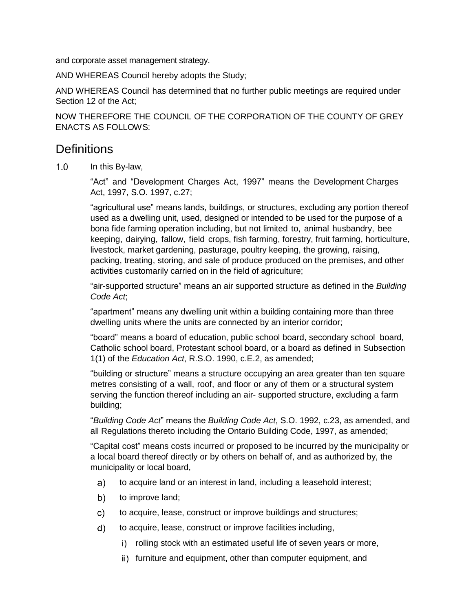and corporate asset management strategy.

AND WHEREAS Council hereby adopts the Study;

AND WHEREAS Council has determined that no further public meetings are required under Section 12 of the Act;

NOW THEREFORE THE COUNCIL OF THE CORPORATION OF THE COUNTY OF GREY ENACTS AS FOLLOWS:

#### **Definitions**

 $1.0$ In this By-law,

> "Act" and "Development Charges Act, 1997" means the Development Charges Act, 1997, S.O. 1997, c.27;

"agricultural use" means lands, buildings, or structures, excluding any portion thereof used as a dwelling unit, used, designed or intended to be used for the purpose of a bona fide farming operation including, but not limited to, animal husbandry, bee keeping, dairying, fallow, field crops, fish farming, forestry, fruit farming, horticulture, livestock, market gardening, pasturage, poultry keeping, the growing, raising, packing, treating, storing, and sale of produce produced on the premises, and other activities customarily carried on in the field of agriculture;

"air-supported structure" means an air supported structure as defined in the *Building Code Act*;

"apartment" means any dwelling unit within a building containing more than three dwelling units where the units are connected by an interior corridor;

"board" means a board of education, public school board, secondary school board, Catholic school board, Protestant school board, or a board as defined in Subsection 1(1) of the *Education Act*, R.S.O. 1990, c.E.2, as amended;

"building or structure" means a structure occupying an area greater than ten square metres consisting of a wall, roof, and floor or any of them or a structural system serving the function thereof including an air- supported structure, excluding a farm building;

"*Building Code Act*" means the *Building Code Act*, S.O. 1992, c.23, as amended, and all Regulations thereto including the Ontario Building Code, 1997, as amended;

"Capital cost" means costs incurred or proposed to be incurred by the municipality or a local board thereof directly or by others on behalf of, and as authorized by, the municipality or local board,

- $a)$ to acquire land or an interest in land, including a leasehold interest;
- $b)$ to improve land;
- $\mathsf{c}$ ) to acquire, lease, construct or improve buildings and structures;
- $\mathsf{d}$ to acquire, lease, construct or improve facilities including,
	- i) rolling stock with an estimated useful life of seven years or more,
	- ii) furniture and equipment, other than computer equipment, and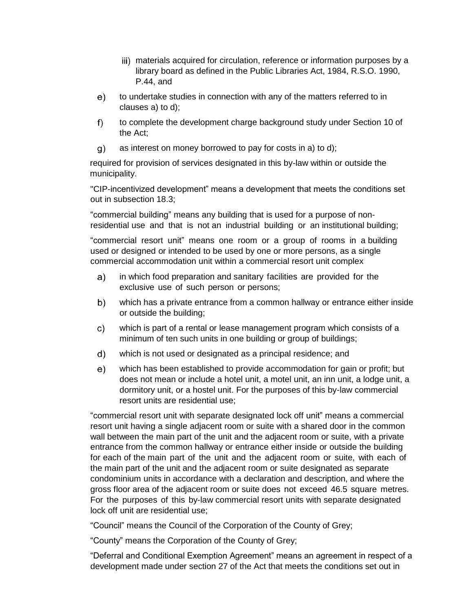- iii) materials acquired for circulation, reference or information purposes by a library board as defined in the Public Libraries Act, 1984, R.S.O. 1990, P.44, and
- $e)$ to undertake studies in connection with any of the matters referred to in clauses a) to d);
- $f$ ) to complete the development charge background study under Section 10 of the Act;
- $g)$ as interest on money borrowed to pay for costs in a) to d);

required for provision of services designated in this by-law within or outside the municipality.

"CIP-incentivized development" means a development that meets the conditions set out in subsection 18.3;

"commercial building" means any building that is used for a purpose of nonresidential use and that is not an industrial building or an institutional building;

"commercial resort unit" means one room or a group of rooms in a building used or designed or intended to be used by one or more persons, as a single commercial accommodation unit within a commercial resort unit complex

- in which food preparation and sanitary facilities are provided for the a) exclusive use of such person or persons;
- which has a private entrance from a common hallway or entrance either inside  $b)$ or outside the building;
- $\mathsf{c}$ ) which is part of a rental or lease management program which consists of a minimum of ten such units in one building or group of buildings;
- $\mathsf{d}$ which is not used or designated as a principal residence; and
- which has been established to provide accommodation for gain or profit; but  $e)$ does not mean or include a hotel unit, a motel unit, an inn unit, a lodge unit, a dormitory unit, or a hostel unit. For the purposes of this by-law commercial resort units are residential use;

"commercial resort unit with separate designated lock off unit" means a commercial resort unit having a single adjacent room or suite with a shared door in the common wall between the main part of the unit and the adjacent room or suite, with a private entrance from the common hallway or entrance either inside or outside the building for each of the main part of the unit and the adjacent room or suite, with each of the main part of the unit and the adjacent room or suite designated as separate condominium units in accordance with a declaration and description, and where the gross floor area of the adjacent room or suite does not exceed 46.5 square metres. For the purposes of this by-law commercial resort units with separate designated lock off unit are residential use;

"Council" means the Council of the Corporation of the County of Grey;

"County" means the Corporation of the County of Grey;

"Deferral and Conditional Exemption Agreement" means an agreement in respect of a development made under section 27 of the Act that meets the conditions set out in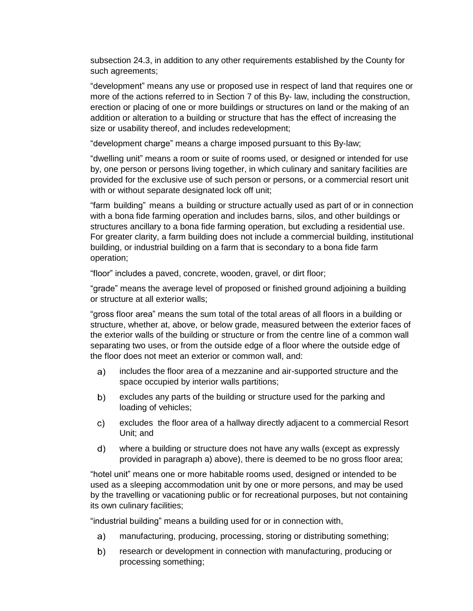subsection 24.3, in addition to any other requirements established by the County for such agreements;

"development" means any use or proposed use in respect of land that requires one or more of the actions referred to in Section 7 of this By- law, including the construction, erection or placing of one or more buildings or structures on land or the making of an addition or alteration to a building or structure that has the effect of increasing the size or usability thereof, and includes redevelopment;

"development charge" means a charge imposed pursuant to this By-law;

"dwelling unit" means a room or suite of rooms used, or designed or intended for use by, one person or persons living together, in which culinary and sanitary facilities are provided for the exclusive use of such person or persons, or a commercial resort unit with or without separate designated lock off unit;

"farm building" means a building or structure actually used as part of or in connection with a bona fide farming operation and includes barns, silos, and other buildings or structures ancillary to a bona fide farming operation, but excluding a residential use. For greater clarity, a farm building does not include a commercial building, institutional building, or industrial building on a farm that is secondary to a bona fide farm operation;

"floor" includes a paved, concrete, wooden, gravel, or dirt floor;

"grade" means the average level of proposed or finished ground adjoining a building or structure at all exterior walls;

"gross floor area" means the sum total of the total areas of all floors in a building or structure, whether at, above, or below grade, measured between the exterior faces of the exterior walls of the building or structure or from the centre line of a common wall separating two uses, or from the outside edge of a floor where the outside edge of the floor does not meet an exterior or common wall, and:

- a) includes the floor area of a mezzanine and air-supported structure and the space occupied by interior walls partitions;
- excludes any parts of the building or structure used for the parking and  $b)$ loading of vehicles;
- excludes the floor area of a hallway directly adjacent to a commercial Resort C) Unit; and
- d) where a building or structure does not have any walls (except as expressly provided in paragraph a) above), there is deemed to be no gross floor area;

"hotel unit" means one or more habitable rooms used, designed or intended to be used as a sleeping accommodation unit by one or more persons, and may be used by the travelling or vacationing public or for recreational purposes, but not containing its own culinary facilities;

"industrial building" means a building used for or in connection with,

- manufacturing, producing, processing, storing or distributing something;  $a)$
- $b)$ research or development in connection with manufacturing, producing or processing something;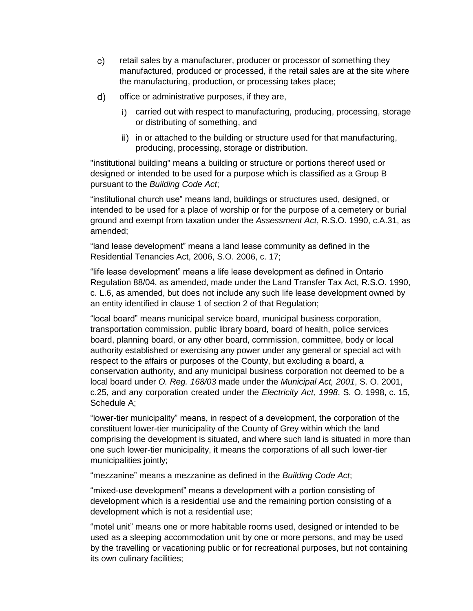- retail sales by a manufacturer, producer or processor of something they  $\mathsf{c}$ ) manufactured, produced or processed, if the retail sales are at the site where the manufacturing, production, or processing takes place;
- $\mathsf{d}$ office or administrative purposes, if they are,
	- carried out with respect to manufacturing, producing, processing, storage or distributing of something, and
	- ii) in or attached to the building or structure used for that manufacturing, producing, processing, storage or distribution.

"institutional building" means a building or structure or portions thereof used or designed or intended to be used for a purpose which is classified as a Group B pursuant to the *Building Code Act*;

"institutional church use" means land, buildings or structures used, designed, or intended to be used for a place of worship or for the purpose of a cemetery or burial ground and exempt from taxation under the *Assessment Act*, R.S.O. 1990, c.A.31, as amended;

"land lease development" means a land lease community as defined in the Residential Tenancies Act, 2006, S.O. 2006, c. 17;

"life lease development" means a life lease development as defined in Ontario Regulation 88/04, as amended, made under the Land Transfer Tax Act, R.S.O. 1990, c. L.6, as amended, but does not include any such life lease development owned by an entity identified in clause 1 of section 2 of that Regulation;

"local board" means municipal service board, municipal business corporation, transportation commission, public library board, board of health, police services board, planning board, or any other board, commission, committee, body or local authority established or exercising any power under any general or special act with respect to the affairs or purposes of the County, but excluding a board, a conservation authority, and any municipal business corporation not deemed to be a local board under *O. Reg. 168/03* made under the *Municipal Act, 2001*, S. O. 2001, c.25, and any corporation created under the *Electricity Act, 1998*, S. O. 1998, c. 15, Schedule A;

"lower-tier municipality" means, in respect of a development, the corporation of the constituent lower-tier municipality of the County of Grey within which the land comprising the development is situated, and where such land is situated in more than one such lower-tier municipality, it means the corporations of all such lower-tier municipalities jointly;

"mezzanine" means a mezzanine as defined in the *Building Code Act*;

"mixed-use development" means a development with a portion consisting of development which is a residential use and the remaining portion consisting of a development which is not a residential use;

"motel unit" means one or more habitable rooms used, designed or intended to be used as a sleeping accommodation unit by one or more persons, and may be used by the travelling or vacationing public or for recreational purposes, but not containing its own culinary facilities;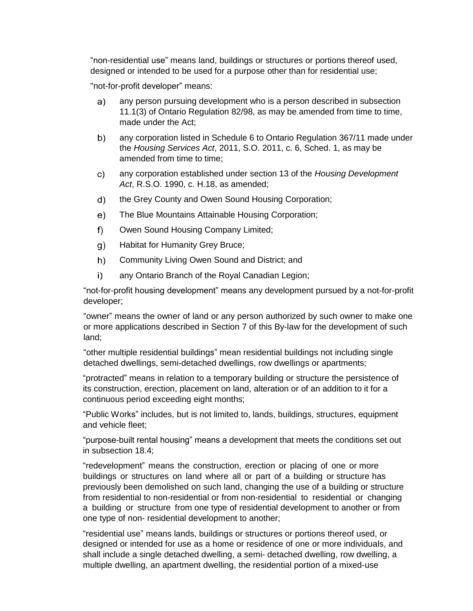"non-residential use" means land, buildings or structures or portions thereof used, designed or intended to be used for a purpose other than for residential use;

"not-for-profit developer" means:

- any person pursuing development who is a person described in subsection  $a)$ 11.1(3) of Ontario Regulation 82/98, as may be amended from time to time, made under the Act;
- $b)$ any corporation listed in Schedule 6 to Ontario Regulation 367/11 made under the *Housing Services Act*, 2011, S.O. 2011, c. 6, Sched. 1, as may be amended from time to time;
- any corporation established under section 13 of the *Housing Development*   $\mathsf{c}$ ) *Act*, R.S.O. 1990, c. H.18, as amended;
- d) the Grey County and Owen Sound Housing Corporation;
- The Blue Mountains Attainable Housing Corporation;  $e)$
- $f$ ) Owen Sound Housing Company Limited;
- $g)$ Habitat for Humanity Grey Bruce;
- $h)$ Community Living Owen Sound and District; and
- $i)$ any Ontario Branch of the Royal Canadian Legion;

"not-for-profit housing development" means any development pursued by a not-for-profit developer;

"owner" means the owner of land or any person authorized by such owner to make one or more applications described in Section 7 of this By-law for the development of such land;

"other multiple residential buildings" mean residential buildings not including single detached dwellings, semi-detached dwellings, row dwellings or apartments;

"protracted" means in relation to a temporary building or structure the persistence of its construction, erection, placement on land, alteration or of an addition to it for a continuous period exceeding eight months;

"Public Works" includes, but is not limited to, lands, buildings, structures, equipment and vehicle fleet;

"purpose-built rental housing" means a development that meets the conditions set out in subsection 18.4;

"redevelopment" means the construction, erection or placing of one or more buildings or structures on land where all or part of a building or structure has previously been demolished on such land, changing the use of a building or structure from residential to non-residential or from non-residential to residential or changing a building or structure from one type of residential development to another or from one type of non- residential development to another;

"residential use" means lands, buildings or structures or portions thereof used, or designed or intended for use as a home or residence of one or more individuals, and shall include a single detached dwelling, a semi- detached dwelling, row dwelling, a multiple dwelling, an apartment dwelling, the residential portion of a mixed-use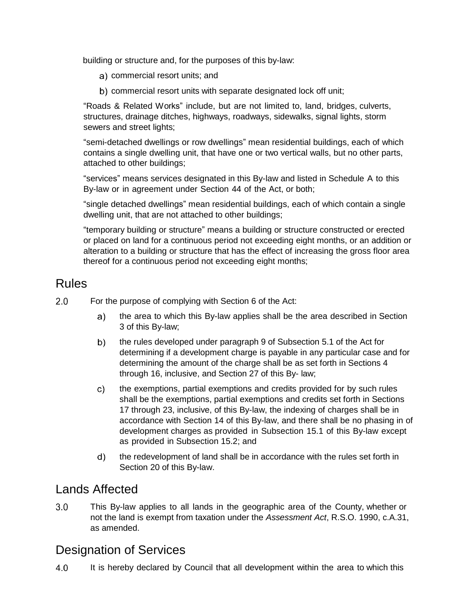building or structure and, for the purposes of this by-law:

- a) commercial resort units; and
- b) commercial resort units with separate designated lock off unit;

"Roads & Related Works" include, but are not limited to, land, bridges, culverts, structures, drainage ditches, highways, roadways, sidewalks, signal lights, storm sewers and street lights;

"semi-detached dwellings or row dwellings" mean residential buildings, each of which contains a single dwelling unit, that have one or two vertical walls, but no other parts, attached to other buildings;

"services" means services designated in this By-law and listed in Schedule A to this By-law or in agreement under Section 44 of the Act, or both;

"single detached dwellings" mean residential buildings, each of which contain a single dwelling unit, that are not attached to other buildings;

"temporary building or structure" means a building or structure constructed or erected or placed on land for a continuous period not exceeding eight months, or an addition or alteration to a building or structure that has the effect of increasing the gross floor area thereof for a continuous period not exceeding eight months;

#### Rules

- $2.0$ For the purpose of complying with Section 6 of the Act:
	- the area to which this By-law applies shall be the area described in Section a) 3 of this By-law;
	- $b)$ the rules developed under paragraph 9 of Subsection 5.1 of the Act for determining if a development charge is payable in any particular case and for determining the amount of the charge shall be as set forth in Sections 4 through 16, inclusive, and Section 27 of this By- law;
	- the exemptions, partial exemptions and credits provided for by such rules  $\mathsf{c}$ ) shall be the exemptions, partial exemptions and credits set forth in Sections 17 through 23, inclusive, of this By-law, the indexing of charges shall be in accordance with Section 14 of this By-law, and there shall be no phasing in of development charges as provided in Subsection 15.1 of this By-law except as provided in Subsection 15.2; and
	- $d)$ the redevelopment of land shall be in accordance with the rules set forth in Section 20 of this By-law.

#### Lands Affected

 $3.0$ This By-law applies to all lands in the geographic area of the County, whether or not the land is exempt from taxation under the *Assessment Act*, R.S.O. 1990, c.A.31, as amended.

### Designation of Services

 $4.0$ It is hereby declared by Council that all development within the area to which this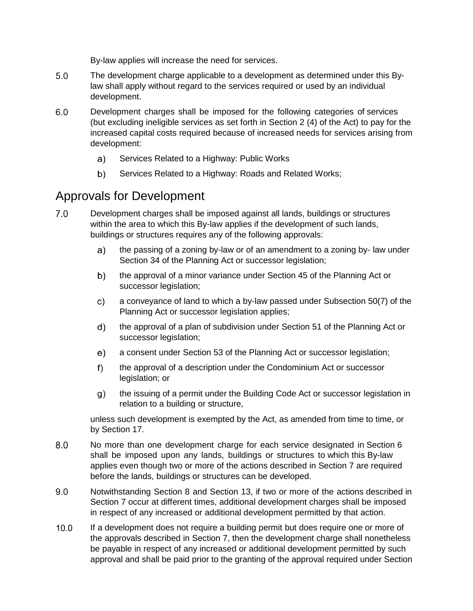By-law applies will increase the need for services.

- $5.0$ The development charge applicable to a development as determined under this Bylaw shall apply without regard to the services required or used by an individual development.
- $6.0$ Development charges shall be imposed for the following categories of services (but excluding ineligible services as set forth in Section 2 (4) of the Act) to pay for the increased capital costs required because of increased needs for services arising from development:
	- Services Related to a Highway: Public Works a)
	- $b)$ Services Related to a Highway: Roads and Related Works;

#### Approvals for Development

- $7.0$ Development charges shall be imposed against all lands, buildings or structures within the area to which this By-law applies if the development of such lands, buildings or structures requires any of the following approvals:
	- the passing of a zoning by-law or of an amendment to a zoning by- law under  $a)$ Section 34 of the Planning Act or successor legislation;
	- $b)$ the approval of a minor variance under Section 45 of the Planning Act or successor legislation;
	- $\mathsf{c})$ a conveyance of land to which a by-law passed under Subsection 50(7) of the Planning Act or successor legislation applies;
	- $d)$ the approval of a plan of subdivision under Section 51 of the Planning Act or successor legislation;
	- $e)$ a consent under Section 53 of the Planning Act or successor legislation;
	- $f$ ) the approval of a description under the Condominium Act or successor legislation; or
	- $g$ ) the issuing of a permit under the Building Code Act or successor legislation in relation to a building or structure,

unless such development is exempted by the Act, as amended from time to time, or by Section 17.

- $8.0$ No more than one development charge for each service designated in Section 6 shall be imposed upon any lands, buildings or structures to which this By-law applies even though two or more of the actions described in Section 7 are required before the lands, buildings or structures can be developed.
- $9.0$ Notwithstanding Section 8 and Section 13, if two or more of the actions described in Section 7 occur at different times, additional development charges shall be imposed in respect of any increased or additional development permitted by that action.
- $10.0$ If a development does not require a building permit but does require one or more of the approvals described in Section 7, then the development charge shall nonetheless be payable in respect of any increased or additional development permitted by such approval and shall be paid prior to the granting of the approval required under Section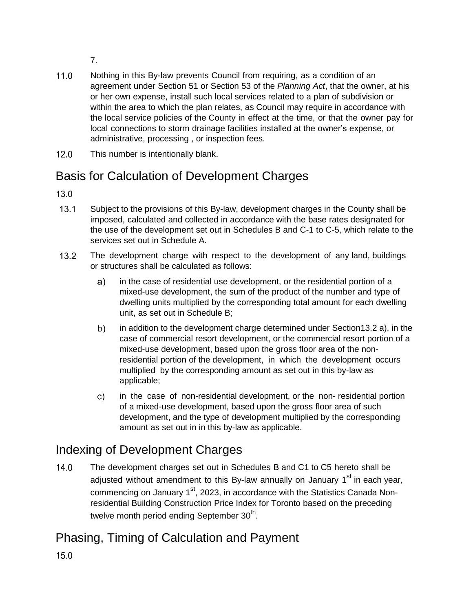7.

- $11.0$ Nothing in this By-law prevents Council from requiring, as a condition of an agreement under Section 51 or Section 53 of the *Planning Act*, that the owner, at his or her own expense, install such local services related to a plan of subdivision or within the area to which the plan relates, as Council may require in accordance with the local service policies of the County in effect at the time, or that the owner pay for local connections to storm drainage facilities installed at the owner's expense, or administrative, processing , or inspection fees.
- $12.0$ This number is intentionally blank.

### Basis for Calculation of Development Charges

 $13.0$ 

- $13.1$ Subject to the provisions of this By-law, development charges in the County shall be imposed, calculated and collected in accordance with the base rates designated for the use of the development set out in Schedules B and C-1 to C-5, which relate to the services set out in Schedule A.
- $13.2$ The development charge with respect to the development of any land, buildings or structures shall be calculated as follows:
	- a) in the case of residential use development, or the residential portion of a mixed-use development, the sum of the product of the number and type of dwelling units multiplied by the corresponding total amount for each dwelling unit, as set out in Schedule B;
	- in addition to the development charge determined under Section13.2 a), in the  $b)$ case of commercial resort development, or the commercial resort portion of a mixed-use development, based upon the gross floor area of the nonresidential portion of the development, in which the development occurs multiplied by the corresponding amount as set out in this by-law as applicable;
	- in the case of non-residential development, or the non- residential portion  $\mathsf{c}$ ) of a mixed-use development, based upon the gross floor area of such development, and the type of development multiplied by the corresponding amount as set out in in this by-law as applicable.

### Indexing of Development Charges

 $14.0$ The development charges set out in Schedules B and C1 to C5 hereto shall be adjusted without amendment to this By-law annually on January 1<sup>st</sup> in each year, commencing on January 1<sup>st</sup>, 2023, in accordance with the Statistics Canada Nonresidential Building Construction Price Index for Toronto based on the preceding twelve month period ending September 30<sup>th</sup>.

### Phasing, Timing of Calculation and Payment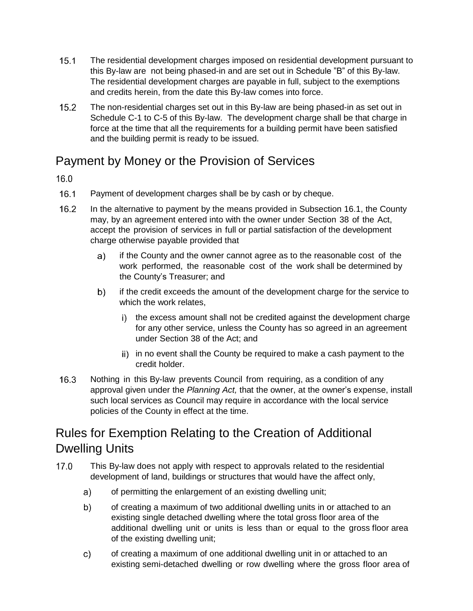- $15.1$ The residential development charges imposed on residential development pursuant to this By-law are not being phased-in and are set out in Schedule "B" of this By-law. The residential development charges are payable in full, subject to the exemptions and credits herein, from the date this By-law comes into force.
- $15.2$ The non-residential charges set out in this By-law are being phased-in as set out in Schedule C-1 to C-5 of this By-law. The development charge shall be that charge in force at the time that all the requirements for a building permit have been satisfied and the building permit is ready to be issued.

### Payment by Money or the Provision of Services

 $16.0$ 

- $16.1$ Payment of development charges shall be by cash or by cheque.
- $16.2$ In the alternative to payment by the means provided in Subsection 16.1, the County may, by an agreement entered into with the owner under Section 38 of the Act, accept the provision of services in full or partial satisfaction of the development charge otherwise payable provided that
	- if the County and the owner cannot agree as to the reasonable cost of the  $a)$ work performed, the reasonable cost of the work shall be determined by the County's Treasurer; and
	- $b)$ if the credit exceeds the amount of the development charge for the service to which the work relates,
		- i) the excess amount shall not be credited against the development charge for any other service, unless the County has so agreed in an agreement under Section 38 of the Act; and
		- ii) in no event shall the County be required to make a cash payment to the credit holder.
- $16.3$ Nothing in this By-law prevents Council from requiring, as a condition of any approval given under the *Planning Act,* that the owner, at the owner's expense, install such local services as Council may require in accordance with the local service policies of the County in effect at the time.

### Rules for Exemption Relating to the Creation of Additional Dwelling Units

- $17.0$ This By-law does not apply with respect to approvals related to the residential development of land, buildings or structures that would have the affect only,
	- of permitting the enlargement of an existing dwelling unit; a)
	- of creating a maximum of two additional dwelling units in or attached to an b) existing single detached dwelling where the total gross floor area of the additional dwelling unit or units is less than or equal to the gross floor area of the existing dwelling unit;
	- of creating a maximum of one additional dwelling unit in or attached to an  $\mathsf{c}$ ) existing semi-detached dwelling or row dwelling where the gross floor area of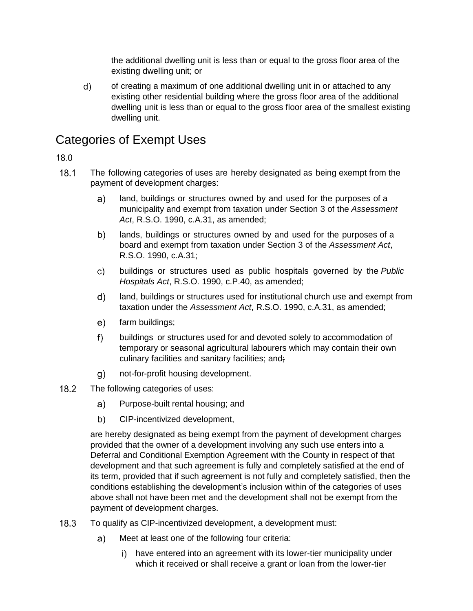the additional dwelling unit is less than or equal to the gross floor area of the existing dwelling unit; or

 $\mathsf{d}$ of creating a maximum of one additional dwelling unit in or attached to any existing other residential building where the gross floor area of the additional dwelling unit is less than or equal to the gross floor area of the smallest existing dwelling unit.

### Categories of Exempt Uses

#### 18.0

- $18.1$ The following categories of uses are hereby designated as being exempt from the payment of development charges:
	- $a)$ land, buildings or structures owned by and used for the purposes of a municipality and exempt from taxation under Section 3 of the *Assessment Act*, R.S.O. 1990, c.A.31, as amended;
	- $b)$ lands, buildings or structures owned by and used for the purposes of a board and exempt from taxation under Section 3 of the *Assessment Act*, R.S.O. 1990, c.A.31;
	- $\mathsf{c}$ ) buildings or structures used as public hospitals governed by the *Public Hospitals Act*, R.S.O. 1990, c.P.40, as amended;
	- $d)$ land, buildings or structures used for institutional church use and exempt from taxation under the *Assessment Act*, R.S.O. 1990, c.A.31, as amended;
	- $e)$ farm buildings;
	- $f$ buildings or structures used for and devoted solely to accommodation of temporary or seasonal agricultural labourers which may contain their own culinary facilities and sanitary facilities; and;
	- $q)$ not-for-profit housing development.
- $18.2$ The following categories of uses:
	- Purpose-built rental housing; and a)
	- $b)$ CIP-incentivized development,

are hereby designated as being exempt from the payment of development charges provided that the owner of a development involving any such use enters into a Deferral and Conditional Exemption Agreement with the County in respect of that development and that such agreement is fully and completely satisfied at the end of its term, provided that if such agreement is not fully and completely satisfied, then the conditions establishing the development's inclusion within of the categories of uses above shall not have been met and the development shall not be exempt from the payment of development charges.

- $18.3$ To qualify as CIP-incentivized development, a development must:
	- $a)$ Meet at least one of the following four criteria:
		- i) have entered into an agreement with its lower-tier municipality under which it received or shall receive a grant or loan from the lower-tier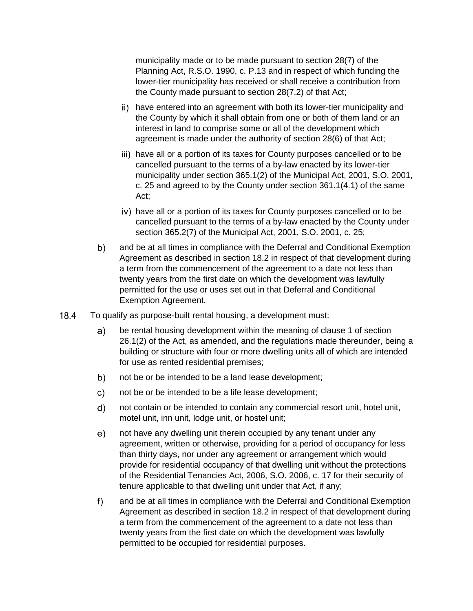municipality made or to be made pursuant to section 28(7) of the Planning Act, R.S.O. 1990, c. P.13 and in respect of which funding the lower-tier municipality has received or shall receive a contribution from the County made pursuant to section 28(7.2) of that Act;

- ii) have entered into an agreement with both its lower-tier municipality and the County by which it shall obtain from one or both of them land or an interest in land to comprise some or all of the development which agreement is made under the authority of section 28(6) of that Act;
- iii) have all or a portion of its taxes for County purposes cancelled or to be cancelled pursuant to the terms of a by-law enacted by its lower-tier municipality under section 365.1(2) of the Municipal Act, 2001, S.O. 2001, c. 25 and agreed to by the County under section 361.1(4.1) of the same Act;
- iv) have all or a portion of its taxes for County purposes cancelled or to be cancelled pursuant to the terms of a by-law enacted by the County under section 365.2(7) of the Municipal Act, 2001, S.O. 2001, c. 25;
- $b)$ and be at all times in compliance with the Deferral and Conditional Exemption Agreement as described in section 18.2 in respect of that development during a term from the commencement of the agreement to a date not less than twenty years from the first date on which the development was lawfully permitted for the use or uses set out in that Deferral and Conditional Exemption Agreement.
- $18.4$ To qualify as purpose-built rental housing, a development must:
	- a) be rental housing development within the meaning of clause 1 of section 26.1(2) of the Act, as amended, and the regulations made thereunder, being a building or structure with four or more dwelling units all of which are intended for use as rented residential premises;
	- $b)$ not be or be intended to be a land lease development;
	- c). not be or be intended to be a life lease development;
	- $d)$ not contain or be intended to contain any commercial resort unit, hotel unit, motel unit, inn unit, lodge unit, or hostel unit;
	- $e)$ not have any dwelling unit therein occupied by any tenant under any agreement, written or otherwise, providing for a period of occupancy for less than thirty days, nor under any agreement or arrangement which would provide for residential occupancy of that dwelling unit without the protections of the Residential Tenancies Act, 2006, S.O. 2006, c. 17 for their security of tenure applicable to that dwelling unit under that Act, if any;
	- $f$ ) and be at all times in compliance with the Deferral and Conditional Exemption Agreement as described in section 18.2 in respect of that development during a term from the commencement of the agreement to a date not less than twenty years from the first date on which the development was lawfully permitted to be occupied for residential purposes.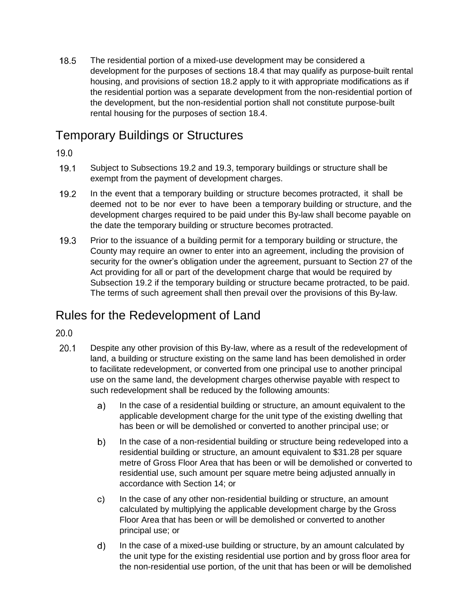$18.5$ The residential portion of a mixed-use development may be considered a development for the purposes of sections 18.4 that may qualify as purpose-built rental housing, and provisions of section 18.2 apply to it with appropriate modifications as if the residential portion was a separate development from the non-residential portion of the development, but the non-residential portion shall not constitute purpose-built rental housing for the purposes of section 18.4.

### Temporary Buildings or Structures

 $19.0$ 

- $19.1$ Subject to Subsections 19.2 and 19.3, temporary buildings or structure shall be exempt from the payment of development charges.
- $19.2$ In the event that a temporary building or structure becomes protracted, it shall be deemed not to be nor ever to have been a temporary building or structure, and the development charges required to be paid under this By-law shall become payable on the date the temporary building or structure becomes protracted.
- $19.3$ Prior to the issuance of a building permit for a temporary building or structure, the County may require an owner to enter into an agreement, including the provision of security for the owner's obligation under the agreement, pursuant to Section 27 of the Act providing for all or part of the development charge that would be required by Subsection 19.2 if the temporary building or structure became protracted, to be paid. The terms of such agreement shall then prevail over the provisions of this By-law.

### Rules for the Redevelopment of Land

#### $20.0$

- $20.1$ Despite any other provision of this By-law, where as a result of the redevelopment of land, a building or structure existing on the same land has been demolished in order to facilitate redevelopment, or converted from one principal use to another principal use on the same land, the development charges otherwise payable with respect to such redevelopment shall be reduced by the following amounts:
	- $a)$ In the case of a residential building or structure, an amount equivalent to the applicable development charge for the unit type of the existing dwelling that has been or will be demolished or converted to another principal use; or
	- In the case of a non-residential building or structure being redeveloped into a  $b)$ residential building or structure, an amount equivalent to \$31.28 per square metre of Gross Floor Area that has been or will be demolished or converted to residential use, such amount per square metre being adjusted annually in accordance with Section 14; or
	- In the case of any other non-residential building or structure, an amount c) calculated by multiplying the applicable development charge by the Gross Floor Area that has been or will be demolished or converted to another principal use; or
	- $d)$ In the case of a mixed-use building or structure, by an amount calculated by the unit type for the existing residential use portion and by gross floor area for the non-residential use portion, of the unit that has been or will be demolished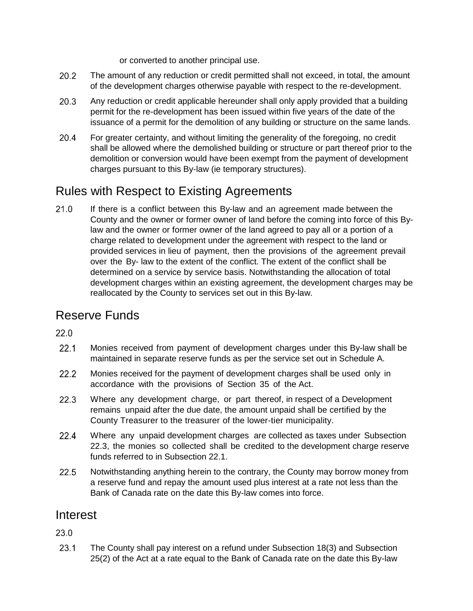or converted to another principal use.

- $20.2$ The amount of any reduction or credit permitted shall not exceed, in total, the amount of the development charges otherwise payable with respect to the re-development.
- $20.3$ Any reduction or credit applicable hereunder shall only apply provided that a building permit for the re-development has been issued within five years of the date of the issuance of a permit for the demolition of any building or structure on the same lands.
- $20.4$ For greater certainty, and without limiting the generality of the foregoing, no credit shall be allowed where the demolished building or structure or part thereof prior to the demolition or conversion would have been exempt from the payment of development charges pursuant to this By-law (ie temporary structures).

### Rules with Respect to Existing Agreements

 $21.0$ If there is a conflict between this By-law and an agreement made between the County and the owner or former owner of land before the coming into force of this Bylaw and the owner or former owner of the land agreed to pay all or a portion of a charge related to development under the agreement with respect to the land or provided services in lieu of payment, then the provisions of the agreement prevail over the By- law to the extent of the conflict. The extent of the conflict shall be determined on a service by service basis. Notwithstanding the allocation of total development charges within an existing agreement, the development charges may be reallocated by the County to services set out in this By-law.

### Reserve Funds

 $220$ 

- $22.1$ Monies received from payment of development charges under this By-law shall be maintained in separate reserve funds as per the service set out in Schedule A.
- $22.2$ Monies received for the payment of development charges shall be used only in accordance with the provisions of Section 35 of the Act.
- $22.3$ Where any development charge, or part thereof, in respect of a Development remains unpaid after the due date, the amount unpaid shall be certified by the County Treasurer to the treasurer of the lower-tier municipality.
- $22.4$ Where any unpaid development charges are collected as taxes under Subsection 22.3, the monies so collected shall be credited to the development charge reserve funds referred to in Subsection 22.1.
- 22.5 Notwithstanding anything herein to the contrary, the County may borrow money from a reserve fund and repay the amount used plus interest at a rate not less than the Bank of Canada rate on the date this By-law comes into force.

#### Interest

23.0

 $23.1$ The County shall pay interest on a refund under Subsection 18(3) and Subsection 25(2) of the Act at a rate equal to the Bank of Canada rate on the date this By-law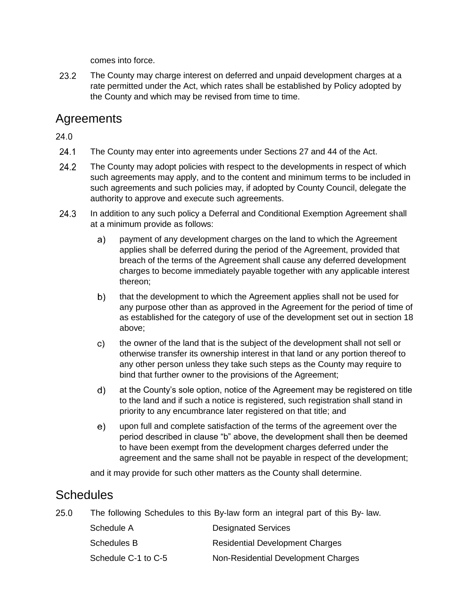comes into force.

 $23.2$ The County may charge interest on deferred and unpaid development charges at a rate permitted under the Act, which rates shall be established by Policy adopted by the County and which may be revised from time to time.

#### Agreements

 $24.0$ 

- $24.1$ The County may enter into agreements under Sections 27 and 44 of the Act.
- $24.2$ The County may adopt policies with respect to the developments in respect of which such agreements may apply, and to the content and minimum terms to be included in such agreements and such policies may, if adopted by County Council, delegate the authority to approve and execute such agreements.
- $24.3$ In addition to any such policy a Deferral and Conditional Exemption Agreement shall at a minimum provide as follows:
	- a) payment of any development charges on the land to which the Agreement applies shall be deferred during the period of the Agreement, provided that breach of the terms of the Agreement shall cause any deferred development charges to become immediately payable together with any applicable interest thereon;
	- $b)$ that the development to which the Agreement applies shall not be used for any purpose other than as approved in the Agreement for the period of time of as established for the category of use of the development set out in section 18 above;
	- the owner of the land that is the subject of the development shall not sell or  $\mathsf{c}$ ) otherwise transfer its ownership interest in that land or any portion thereof to any other person unless they take such steps as the County may require to bind that further owner to the provisions of the Agreement;
	- $\mathsf{d}$ at the County's sole option, notice of the Agreement may be registered on title to the land and if such a notice is registered, such registration shall stand in priority to any encumbrance later registered on that title; and
	- $e)$ upon full and complete satisfaction of the terms of the agreement over the period described in clause "b" above, the development shall then be deemed to have been exempt from the development charges deferred under the agreement and the same shall not be payable in respect of the development;

and it may provide for such other matters as the County shall determine.

#### **Schedules**

 $25.0$ The following Schedules to this By-law form an integral part of this By- law.

| Schedule A          | <b>Designated Services</b>             |
|---------------------|----------------------------------------|
| Schedules B         | <b>Residential Development Charges</b> |
| Schedule C-1 to C-5 | Non-Residential Development Charges    |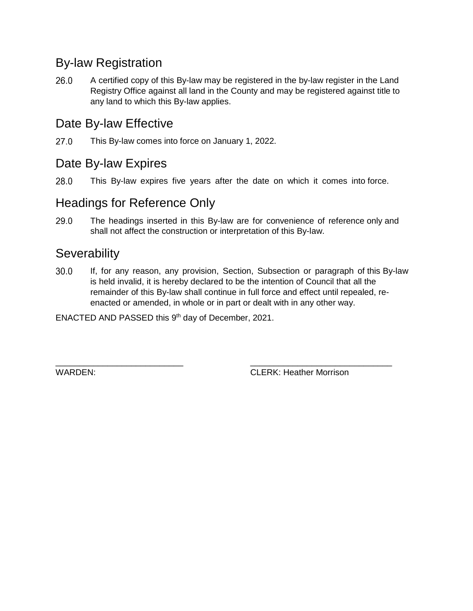### By-law Registration

26.0 A certified copy of this By-law may be registered in the by-law register in the Land Registry Office against all land in the County and may be registered against title to any land to which this By-law applies.

### Date By-law Effective

 $27.0$ This By-law comes into force on January 1, 2022.

### Date By-law Expires

28.0 This By-law expires five years after the date on which it comes into force.

#### Headings for Reference Only

29.0 The headings inserted in this By-law are for convenience of reference only and shall not affect the construction or interpretation of this By-law.

### **Severability**

 $30.0$ If, for any reason, any provision, Section, Subsection or paragraph of this By-law is held invalid, it is hereby declared to be the intention of Council that all the remainder of this By-law shall continue in full force and effect until repealed, reenacted or amended, in whole or in part or dealt with in any other way.

ENACTED AND PASSED this  $9<sup>th</sup>$  day of December, 2021.

\_\_\_\_\_\_\_\_\_\_\_\_\_\_\_\_\_\_\_\_\_\_\_\_\_\_\_ \_\_\_\_\_\_\_\_\_\_\_\_\_\_\_\_\_\_\_\_\_\_\_\_\_\_\_\_\_\_ WARDEN: CLERK: Heather Morrison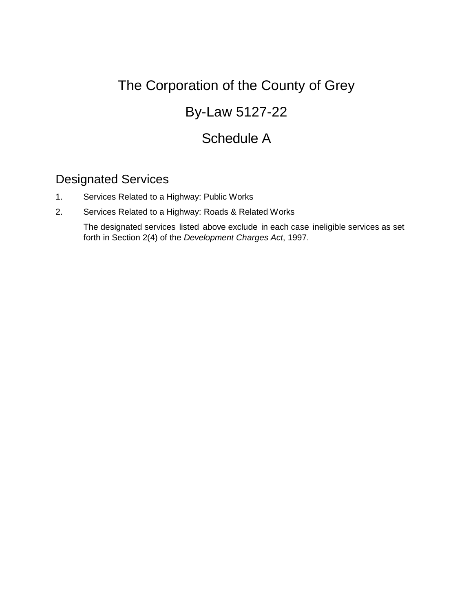### By-Law 5127-22

### Schedule A

#### Designated Services

- 1. Services Related to a Highway: Public Works
- 2. Services Related to a Highway: Roads & Related Works

The designated services listed above exclude in each case ineligible services as set forth in Section 2(4) of the *Development Charges Act*, 1997.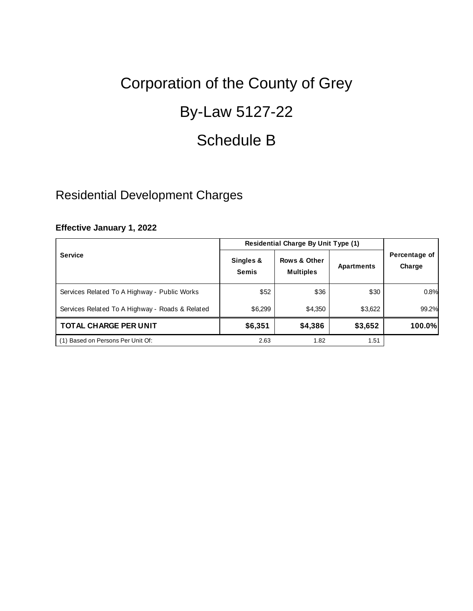## By-Law 5127-22

## Schedule B

### Residential Development Charges

#### **Effective January 1, 2022**

|                                                 | Residential Charge By Unit Type (1) |                                  |            |                         |
|-------------------------------------------------|-------------------------------------|----------------------------------|------------|-------------------------|
| <b>Service</b>                                  | Singles &<br><b>Semis</b>           | Rows & Other<br><b>Multiples</b> | Apartments | Percentage of<br>Charge |
| Services Related To A Highway - Public Works    | \$52                                | \$36                             | \$30       | 0.8%                    |
| Services Related To A Highway - Roads & Related | \$6,299                             | \$4,350                          | \$3,622    | 99.2%                   |
| <b>TOTAL CHARGE PER UNIT</b>                    | \$6,351                             | \$4,386                          | \$3,652    | 100.0%                  |
| (1) Based on Persons Per Unit Of:               | 2.63                                | 1.82                             | 1.51       |                         |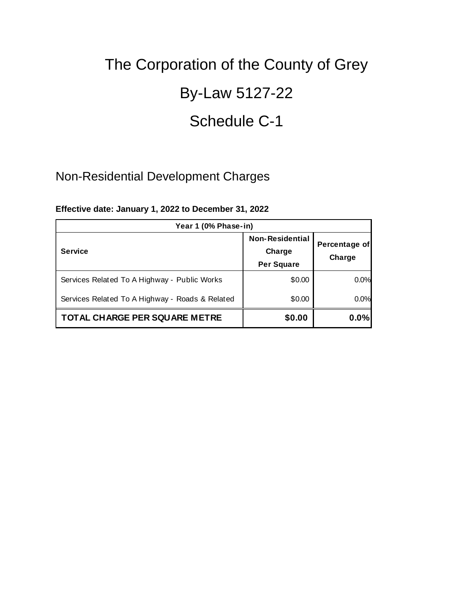## By-Law 5127-22

### Schedule C-1

### Non-Residential Development Charges

| Year 1 (0% Phase-in)                            |                                                       |                         |  |
|-------------------------------------------------|-------------------------------------------------------|-------------------------|--|
| <b>Service</b>                                  | <b>Non-Residential</b><br>Charge<br><b>Per Square</b> | Percentage of<br>Charge |  |
| Services Related To A Highway - Public Works    | \$0.00                                                | 0.0%                    |  |
| Services Related To A Highway - Roads & Related | \$0.00                                                | 0.0%                    |  |
| <b>TOTAL CHARGE PER SQUARE METRE</b>            | \$0.00                                                | 0.0%                    |  |

#### **Effective date: January 1, 2022 to December 31, 2022**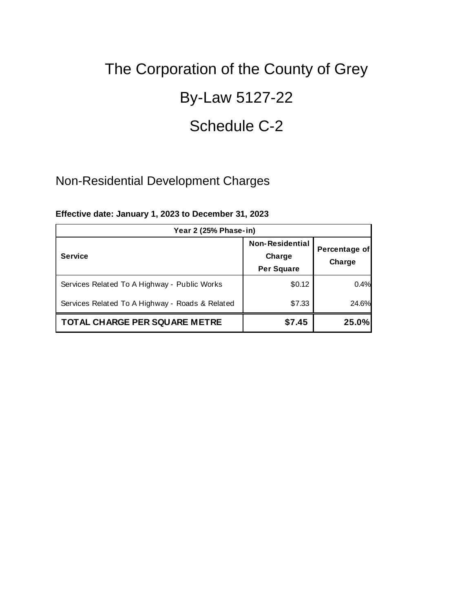## By-Law 5127-22

### Schedule C-2

### Non-Residential Development Charges

| Year 2 (25% Phase-in)                           |                                                       |                         |  |
|-------------------------------------------------|-------------------------------------------------------|-------------------------|--|
| <b>Service</b>                                  | <b>Non-Residential</b><br>Charge<br><b>Per Square</b> | Percentage of<br>Charge |  |
| Services Related To A Highway - Public Works    | \$0.12                                                | 0.4%                    |  |
| Services Related To A Highway - Roads & Related | \$7.33                                                | 24.6%                   |  |
| <b>TOTAL CHARGE PER SQUARE METRE</b>            | \$7.45                                                | 25.0%                   |  |

#### **Effective date: January 1, 2023 to December 31, 2023**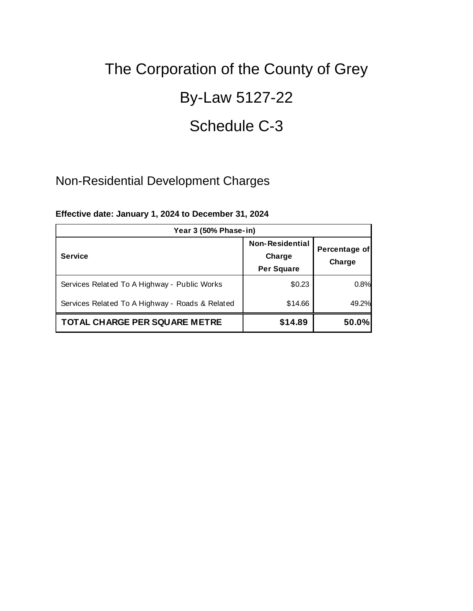## By-Law 5127-22

### Schedule C-3

### Non-Residential Development Charges

| Year 3 (50% Phase-in)                           |                                                       |                         |  |
|-------------------------------------------------|-------------------------------------------------------|-------------------------|--|
| <b>Service</b>                                  | <b>Non-Residential</b><br>Charge<br><b>Per Square</b> | Percentage of<br>Charge |  |
| Services Related To A Highway - Public Works    | \$0.23                                                | 0.8%                    |  |
| Services Related To A Highway - Roads & Related | \$14.66                                               | 49.2%                   |  |
| <b>TOTAL CHARGE PER SQUARE METRE</b>            | \$14.89                                               | 50.0%                   |  |

#### **Effective date: January 1, 2024 to December 31, 2024**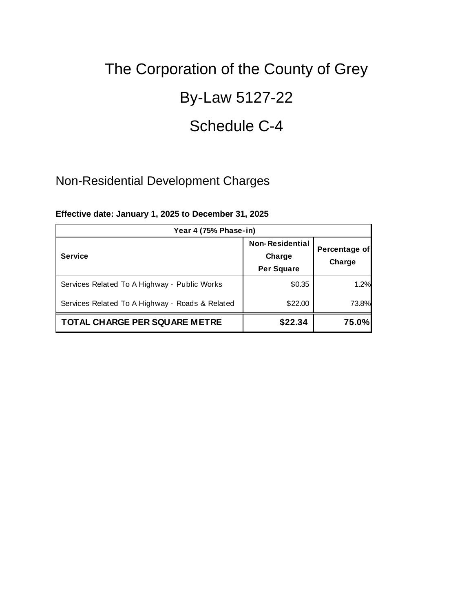## By-Law 5127-22

### Schedule C-4

### Non-Residential Development Charges

| Year 4 (75% Phase-in)                           |                                                       |                         |  |
|-------------------------------------------------|-------------------------------------------------------|-------------------------|--|
| <b>Service</b>                                  | <b>Non-Residential</b><br>Charge<br><b>Per Square</b> | Percentage of<br>Charge |  |
| Services Related To A Highway - Public Works    | \$0.35                                                | 1.2%                    |  |
| Services Related To A Highway - Roads & Related | \$22.00                                               | 73.8%                   |  |
| TOTAL CHARGE PER SQUARE METRE                   | \$22.34                                               | 75.0%                   |  |

#### **Effective date: January 1, 2025 to December 31, 2025**